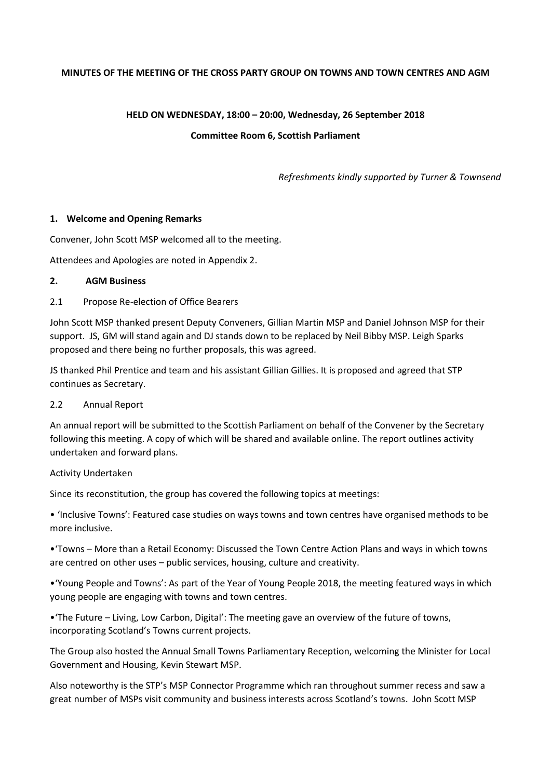#### **MINUTES OF THE MEETING OF THE CROSS PARTY GROUP ON TOWNS AND TOWN CENTRES AND AGM**

#### **HELD ON WEDNESDAY, 18:00 – 20:00, Wednesday, 26 September 2018**

#### **Committee Room 6, Scottish Parliament**

*Refreshments kindly supported by Turner & Townsend*

#### **1. Welcome and Opening Remarks**

Convener, John Scott MSP welcomed all to the meeting.

Attendees and Apologies are noted in Appendix 2.

### **2. AGM Business**

#### 2.1 Propose Re-election of Office Bearers

John Scott MSP thanked present Deputy Conveners, Gillian Martin MSP and Daniel Johnson MSP for their support. JS, GM will stand again and DJ stands down to be replaced by Neil Bibby MSP. Leigh Sparks proposed and there being no further proposals, this was agreed.

JS thanked Phil Prentice and team and his assistant Gillian Gillies. It is proposed and agreed that STP continues as Secretary.

#### 2.2 Annual Report

An annual report will be submitted to the Scottish Parliament on behalf of the Convener by the Secretary following this meeting. A copy of which will be shared and available online. The report outlines activity undertaken and forward plans.

#### Activity Undertaken

Since its reconstitution, the group has covered the following topics at meetings:

• 'Inclusive Towns': Featured case studies on ways towns and town centres have organised methods to be more inclusive.

•'Towns – More than a Retail Economy: Discussed the Town Centre Action Plans and ways in which towns are centred on other uses – public services, housing, culture and creativity.

•'Young People and Towns': As part of the Year of Young People 2018, the meeting featured ways in which young people are engaging with towns and town centres.

•'The Future – Living, Low Carbon, Digital': The meeting gave an overview of the future of towns, incorporating Scotland's Towns current projects.

The Group also hosted the Annual Small Towns Parliamentary Reception, welcoming the Minister for Local Government and Housing, Kevin Stewart MSP.

Also noteworthy is the STP's MSP Connector Programme which ran throughout summer recess and saw a great number of MSPs visit community and business interests across Scotland's towns. John Scott MSP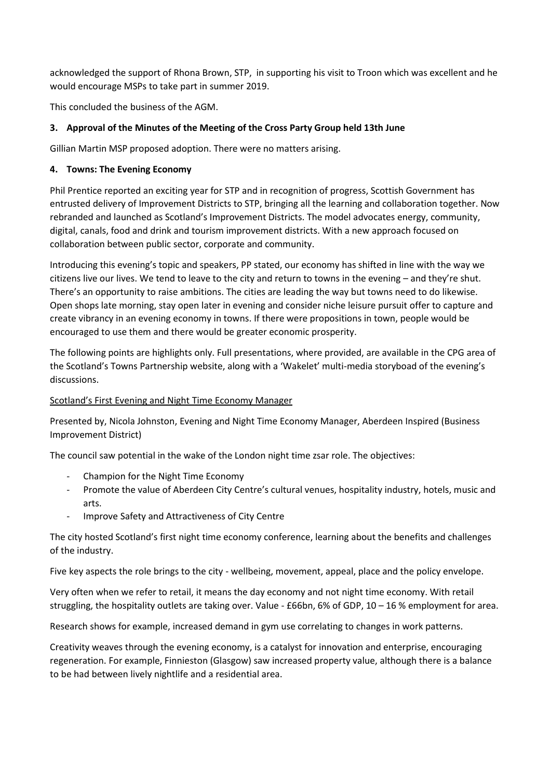acknowledged the support of Rhona Brown, STP, in supporting his visit to Troon which was excellent and he would encourage MSPs to take part in summer 2019.

This concluded the business of the AGM.

## **3. Approval of the Minutes of the Meeting of the Cross Party Group held 13th June**

Gillian Martin MSP proposed adoption. There were no matters arising.

## **4. Towns: The Evening Economy**

Phil Prentice reported an exciting year for STP and in recognition of progress, Scottish Government has entrusted delivery of Improvement Districts to STP, bringing all the learning and collaboration together. Now rebranded and launched as Scotland's Improvement Districts. The model advocates energy, community, digital, canals, food and drink and tourism improvement districts. With a new approach focused on collaboration between public sector, corporate and community.

Introducing this evening's topic and speakers, PP stated, our economy has shifted in line with the way we citizens live our lives. We tend to leave to the city and return to towns in the evening – and they're shut. There's an opportunity to raise ambitions. The cities are leading the way but towns need to do likewise. Open shops late morning, stay open later in evening and consider niche leisure pursuit offer to capture and create vibrancy in an evening economy in towns. If there were propositions in town, people would be encouraged to use them and there would be greater economic prosperity.

The following points are highlights only. Full presentations, where provided, are available in the CPG area of the Scotland's Towns Partnership website, along with a 'Wakelet' multi-media storyboad of the evening's discussions.

## Scotland's First Evening and Night Time Economy Manager

Presented by, Nicola Johnston, Evening and Night Time Economy Manager, Aberdeen Inspired (Business Improvement District)

The council saw potential in the wake of the London night time zsar role. The objectives:

- Champion for the Night Time Economy
- Promote the value of Aberdeen City Centre's cultural venues, hospitality industry, hotels, music and arts.
- Improve Safety and Attractiveness of City Centre

The city hosted Scotland's first night time economy conference, learning about the benefits and challenges of the industry.

Five key aspects the role brings to the city - wellbeing, movement, appeal, place and the policy envelope.

Very often when we refer to retail, it means the day economy and not night time economy. With retail struggling, the hospitality outlets are taking over. Value - £66bn, 6% of GDP, 10 – 16 % employment for area.

Research shows for example, increased demand in gym use correlating to changes in work patterns.

Creativity weaves through the evening economy, is a catalyst for innovation and enterprise, encouraging regeneration. For example, Finnieston (Glasgow) saw increased property value, although there is a balance to be had between lively nightlife and a residential area.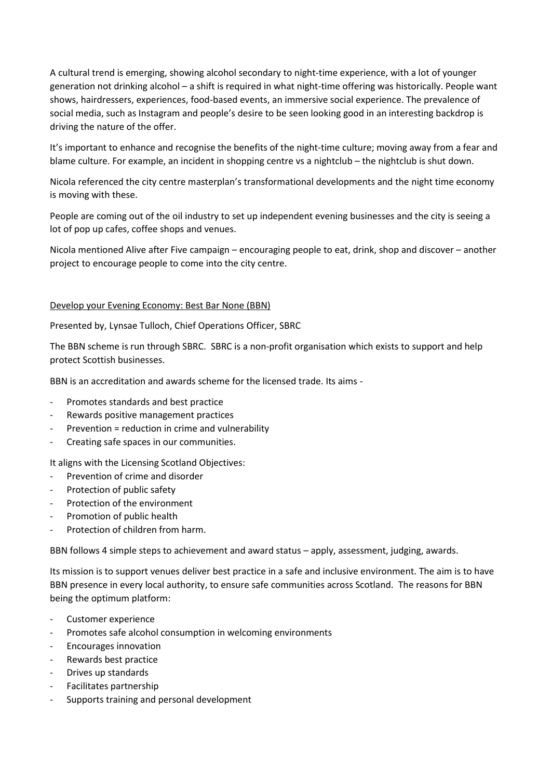A cultural trend is emerging, showing alcohol secondary to night-time experience, with a lot of younger generation not drinking alcohol – a shift is required in what night-time offering was historically. People want shows, hairdressers, experiences, food-based events, an immersive social experience. The prevalence of social media, such as Instagram and people's desire to be seen looking good in an interesting backdrop is driving the nature of the offer.

It's important to enhance and recognise the benefits of the night-time culture; moving away from a fear and blame culture. For example, an incident in shopping centre vs a nightclub – the nightclub is shut down.

Nicola referenced the city centre masterplan's transformational developments and the night time economy is moving with these.

People are coming out of the oil industry to set up independent evening businesses and the city is seeing a lot of pop up cafes, coffee shops and venues.

Nicola mentioned Alive after Five campaign – encouraging people to eat, drink, shop and discover – another project to encourage people to come into the city centre.

#### Develop your Evening Economy: Best Bar None (BBN)

Presented by, Lynsae Tulloch, Chief Operations Officer, SBRC

The BBN scheme is run through SBRC. SBRC is a non-profit organisation which exists to support and help protect Scottish businesses.

BBN is an accreditation and awards scheme for the licensed trade. Its aims -

- Promotes standards and best practice
- Rewards positive management practices
- Prevention = reduction in crime and vulnerability
- Creating safe spaces in our communities.

It aligns with the Licensing Scotland Objectives:

- Prevention of crime and disorder
- Protection of public safety
- Protection of the environment
- Promotion of public health
- Protection of children from harm.

BBN follows 4 simple steps to achievement and award status – apply, assessment, judging, awards.

Its mission is to support venues deliver best practice in a safe and inclusive environment. The aim is to have BBN presence in every local authority, to ensure safe communities across Scotland. The reasons for BBN being the optimum platform:

- Customer experience
- Promotes safe alcohol consumption in welcoming environments
- Encourages innovation
- Rewards best practice
- Drives up standards
- Facilitates partnership
- Supports training and personal development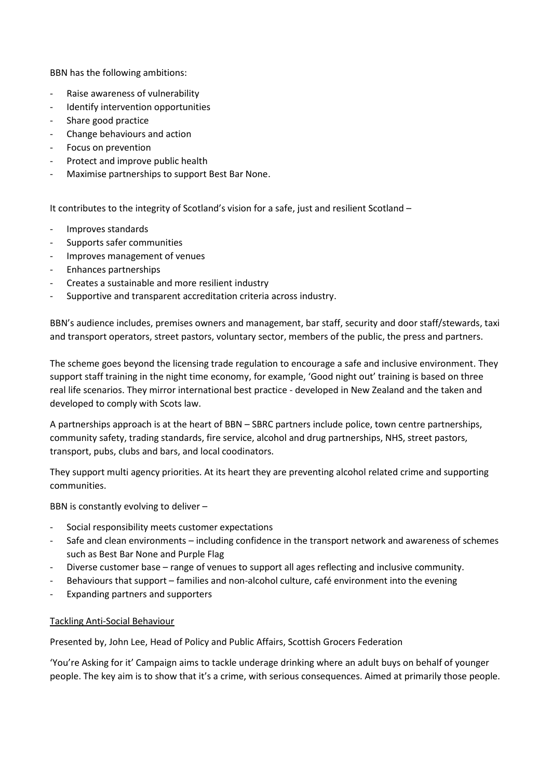BBN has the following ambitions:

- Raise awareness of vulnerability
- Identify intervention opportunities
- Share good practice
- Change behaviours and action
- Focus on prevention
- Protect and improve public health
- Maximise partnerships to support Best Bar None.

It contributes to the integrity of Scotland's vision for a safe, just and resilient Scotland –

- Improves standards
- Supports safer communities
- Improves management of venues
- Enhances partnerships
- Creates a sustainable and more resilient industry
- Supportive and transparent accreditation criteria across industry.

BBN's audience includes, premises owners and management, bar staff, security and door staff/stewards, taxi and transport operators, street pastors, voluntary sector, members of the public, the press and partners.

The scheme goes beyond the licensing trade regulation to encourage a safe and inclusive environment. They support staff training in the night time economy, for example, 'Good night out' training is based on three real life scenarios. They mirror international best practice - developed in New Zealand and the taken and developed to comply with Scots law.

A partnerships approach is at the heart of BBN – SBRC partners include police, town centre partnerships, community safety, trading standards, fire service, alcohol and drug partnerships, NHS, street pastors, transport, pubs, clubs and bars, and local coodinators.

They support multi agency priorities. At its heart they are preventing alcohol related crime and supporting communities.

BBN is constantly evolving to deliver –

- Social responsibility meets customer expectations
- Safe and clean environments including confidence in the transport network and awareness of schemes such as Best Bar None and Purple Flag
- Diverse customer base range of venues to support all ages reflecting and inclusive community.
- Behaviours that support families and non-alcohol culture, café environment into the evening
- Expanding partners and supporters

#### Tackling Anti-Social Behaviour

Presented by, John Lee, Head of Policy and Public Affairs, Scottish Grocers Federation

'You're Asking for it' Campaign aims to tackle underage drinking where an adult buys on behalf of younger people. The key aim is to show that it's a crime, with serious consequences. Aimed at primarily those people.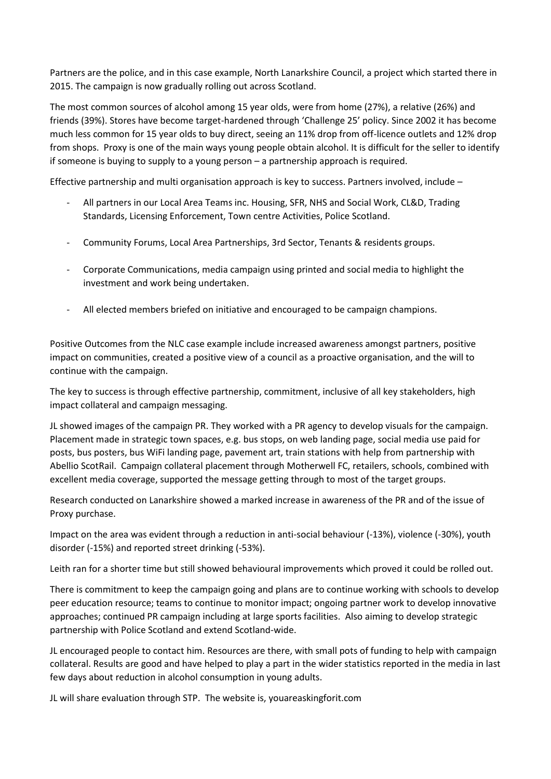Partners are the police, and in this case example, North Lanarkshire Council, a project which started there in 2015. The campaign is now gradually rolling out across Scotland.

The most common sources of alcohol among 15 year olds, were from home (27%), a relative (26%) and friends (39%). Stores have become target-hardened through 'Challenge 25' policy. Since 2002 it has become much less common for 15 year olds to buy direct, seeing an 11% drop from off-licence outlets and 12% drop from shops. Proxy is one of the main ways young people obtain alcohol. It is difficult for the seller to identify if someone is buying to supply to a young person – a partnership approach is required.

Effective partnership and multi organisation approach is key to success. Partners involved, include –

- All partners in our Local Area Teams inc. Housing, SFR, NHS and Social Work, CL&D, Trading Standards, Licensing Enforcement, Town centre Activities, Police Scotland.
- Community Forums, Local Area Partnerships, 3rd Sector, Tenants & residents groups.
- Corporate Communications, media campaign using printed and social media to highlight the investment and work being undertaken.
- All elected members briefed on initiative and encouraged to be campaign champions.

Positive Outcomes from the NLC case example include increased awareness amongst partners, positive impact on communities, created a positive view of a council as a proactive organisation, and the will to continue with the campaign.

The key to success is through effective partnership, commitment, inclusive of all key stakeholders, high impact collateral and campaign messaging.

JL showed images of the campaign PR. They worked with a PR agency to develop visuals for the campaign. Placement made in strategic town spaces, e.g. bus stops, on web landing page, social media use paid for posts, bus posters, bus WiFi landing page, pavement art, train stations with help from partnership with Abellio ScotRail. Campaign collateral placement through Motherwell FC, retailers, schools, combined with excellent media coverage, supported the message getting through to most of the target groups.

Research conducted on Lanarkshire showed a marked increase in awareness of the PR and of the issue of Proxy purchase.

Impact on the area was evident through a reduction in anti-social behaviour (-13%), violence (-30%), youth disorder (-15%) and reported street drinking (-53%).

Leith ran for a shorter time but still showed behavioural improvements which proved it could be rolled out.

There is commitment to keep the campaign going and plans are to continue working with schools to develop peer education resource; teams to continue to monitor impact; ongoing partner work to develop innovative approaches; continued PR campaign including at large sports facilities. Also aiming to develop strategic partnership with Police Scotland and extend Scotland-wide.

JL encouraged people to contact him. Resources are there, with small pots of funding to help with campaign collateral. Results are good and have helped to play a part in the wider statistics reported in the media in last few days about reduction in alcohol consumption in young adults.

JL will share evaluation through STP. The website is, youareaskingforit.com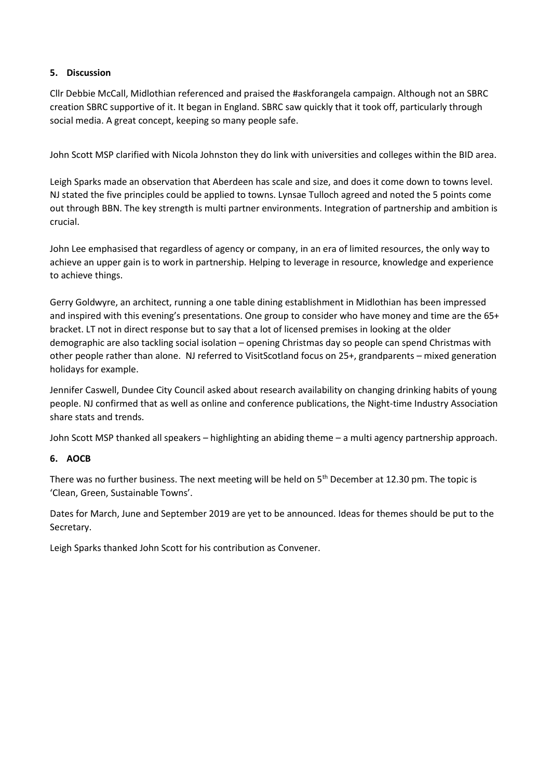## **5. Discussion**

Cllr Debbie McCall, Midlothian referenced and praised the #askforangela campaign. Although not an SBRC creation SBRC supportive of it. It began in England. SBRC saw quickly that it took off, particularly through social media. A great concept, keeping so many people safe.

John Scott MSP clarified with Nicola Johnston they do link with universities and colleges within the BID area.

Leigh Sparks made an observation that Aberdeen has scale and size, and does it come down to towns level. NJ stated the five principles could be applied to towns. Lynsae Tulloch agreed and noted the 5 points come out through BBN. The key strength is multi partner environments. Integration of partnership and ambition is crucial.

John Lee emphasised that regardless of agency or company, in an era of limited resources, the only way to achieve an upper gain is to work in partnership. Helping to leverage in resource, knowledge and experience to achieve things.

Gerry Goldwyre, an architect, running a one table dining establishment in Midlothian has been impressed and inspired with this evening's presentations. One group to consider who have money and time are the 65+ bracket. LT not in direct response but to say that a lot of licensed premises in looking at the older demographic are also tackling social isolation – opening Christmas day so people can spend Christmas with other people rather than alone. NJ referred to VisitScotland focus on 25+, grandparents – mixed generation holidays for example.

Jennifer Caswell, Dundee City Council asked about research availability on changing drinking habits of young people. NJ confirmed that as well as online and conference publications, the Night-time Industry Association share stats and trends.

John Scott MSP thanked all speakers – highlighting an abiding theme – a multi agency partnership approach.

## **6. AOCB**

There was no further business. The next meeting will be held on  $5<sup>th</sup>$  December at 12.30 pm. The topic is 'Clean, Green, Sustainable Towns'.

Dates for March, June and September 2019 are yet to be announced. Ideas for themes should be put to the Secretary.

Leigh Sparks thanked John Scott for his contribution as Convener.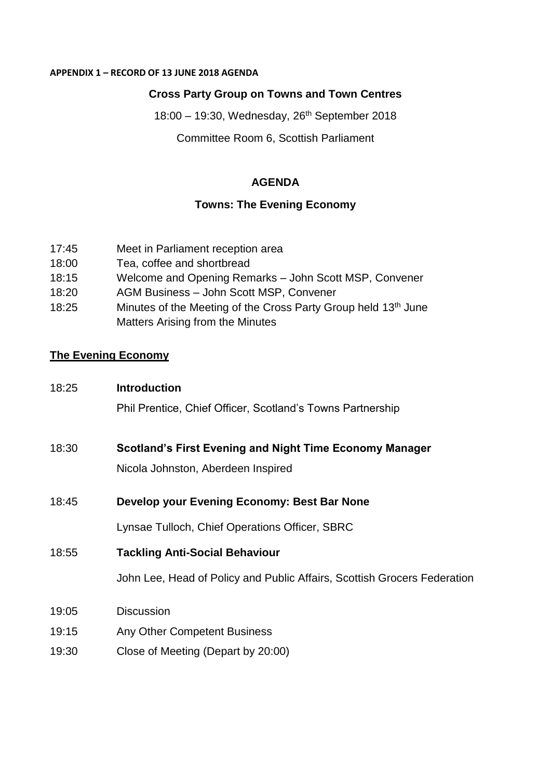#### **APPENDIX 1 – RECORD OF 13 JUNE 2018 AGENDA**

# **Cross Party Group on Towns and Town Centres**

18:00 – 19:30, Wednesday, 26th September 2018 Committee Room 6, Scottish Parliament

## **AGENDA**

## **Towns: The Evening Economy**

- 17:45 Meet in Parliament reception area
- 18:00 Tea, coffee and shortbread
- 18:15 Welcome and Opening Remarks John Scott MSP, Convener
- 18:20 AGM Business John Scott MSP, Convener
- 18:25 Minutes of the Meeting of the Cross Party Group held 13<sup>th</sup> June Matters Arising from the Minutes

# **The Evening Economy**

18:25 **Introduction** Phil Prentice, Chief Officer, Scotland's Towns Partnership 18:30 **Scotland's First Evening and Night Time Economy Manager** 

Nicola Johnston, Aberdeen Inspired

18:45 **Develop your Evening Economy: Best Bar None**

Lynsae Tulloch, Chief Operations Officer, SBRC

18:55 **Tackling Anti-Social Behaviour** 

John Lee, Head of Policy and Public Affairs, Scottish Grocers Federation

- 19:05 Discussion
- 19:15 Any Other Competent Business
- 19:30 Close of Meeting (Depart by 20:00)